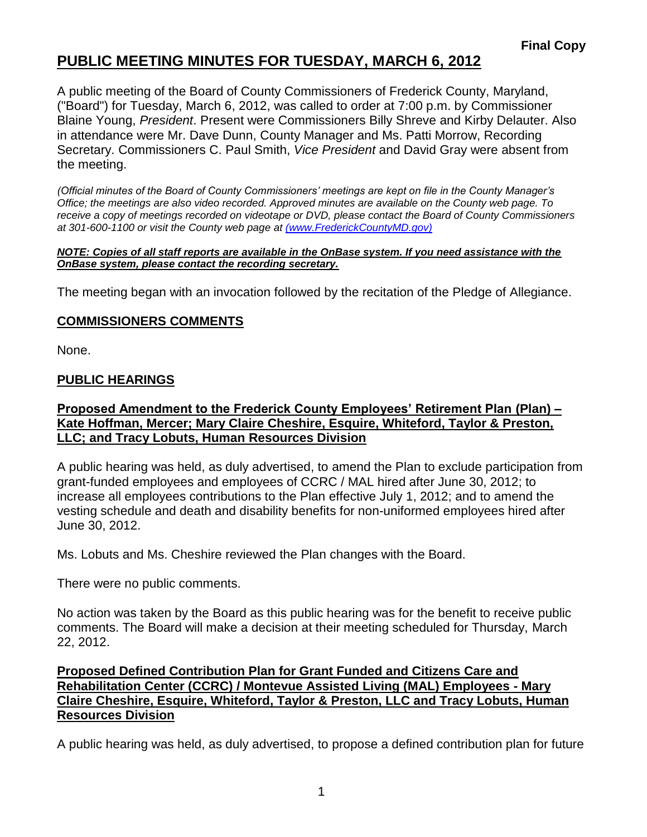# **PUBLIC MEETING MINUTES FOR TUESDAY, MARCH 6, 2012**

A public meeting of the Board of County Commissioners of Frederick County, Maryland, ("Board") for Tuesday, March 6, 2012, was called to order at 7:00 p.m. by Commissioner Blaine Young, *President*. Present were Commissioners Billy Shreve and Kirby Delauter. Also in attendance were Mr. Dave Dunn, County Manager and Ms. Patti Morrow, Recording Secretary. Commissioners C. Paul Smith, *Vice President* and David Gray were absent from the meeting.

*(Official minutes of the Board of County Commissioners' meetings are kept on file in the County Manager's Office; the meetings are also video recorded. Approved minutes are available on the County web page. To receive a copy of meetings recorded on videotape or DVD, please contact the Board of County Commissioners at 301-600-1100 or visit the County web page at [\(www.FrederickCountyMD.gov\)](file://NT1S5/BOCC/BOCC/BOCC%20Minutes/Patti)*

#### *NOTE: Copies of all staff reports are available in the OnBase system. If you need assistance with the OnBase system, please contact the recording secretary.*

The meeting began with an invocation followed by the recitation of the Pledge of Allegiance.

## **COMMISSIONERS COMMENTS**

None.

### **PUBLIC HEARINGS**

### **Proposed Amendment to the Frederick County Employees' Retirement Plan (Plan) – Kate Hoffman, Mercer; Mary Claire Cheshire, Esquire, Whiteford, Taylor & Preston, LLC; and Tracy Lobuts, Human Resources Division**

A public hearing was held, as duly advertised, to amend the Plan to exclude participation from grant-funded employees and employees of CCRC / MAL hired after June 30, 2012; to increase all employees contributions to the Plan effective July 1, 2012; and to amend the vesting schedule and death and disability benefits for non-uniformed employees hired after June 30, 2012.

Ms. Lobuts and Ms. Cheshire reviewed the Plan changes with the Board.

There were no public comments.

No action was taken by the Board as this public hearing was for the benefit to receive public comments. The Board will make a decision at their meeting scheduled for Thursday, March 22, 2012.

### **Proposed Defined Contribution Plan for Grant Funded and Citizens Care and Rehabilitation Center (CCRC) / Montevue Assisted Living (MAL) Employees - Mary Claire Cheshire, Esquire, Whiteford, Taylor & Preston, LLC and Tracy Lobuts, Human Resources Division**

A public hearing was held, as duly advertised, to propose a defined contribution plan for future